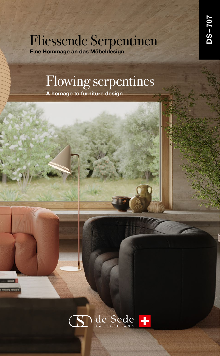## Flowing serpentines

A homage to furniture design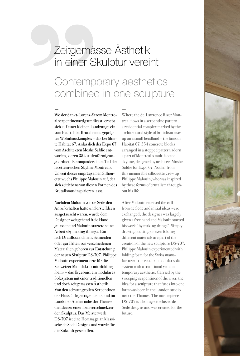# Zeitgemässe Ästhetik in einer Skulptur vereint Zeitgemäss<br>in einer Ski

## Contemporary aesthetics combined in one sculpture

*—*

*—* Wo der Sankt-Lorenz-Strom Montreal serpentinenartig umfliesst, erhebt sich auf einer kleinen Landzunge ein vom Baustil des Brutalismus geprägter Wohnhauskomplex – das berühmte Habitat 67. Anlässlich der Expo 67 vom Architekten Moshe Safdie entworfen, zieren 354 stufenförmig angeordnete Betonquader einen Teil der facettenreichen Skyline Montreals. Unweit dieser einprägsamen Silhouette wuchs Philippe Malouin auf, der sich zeitlebens von diesen Formen des Brutalismus inspirieren lässt.

Nachdem Malouin von de Sede den Anruf erhalten hatte und erste Ideen ausgetauscht waren, wurde dem Designer weitgehend freie Hand gelassen und Malouin startete seine Arbeit «by making things». Einfach Draufloszeichnen, Schneiden oder gar Falten von verschiedenen Materialien gehören zur Entstehung der neuen Skulptur DS-707. Philippe Malouin experimentierte für die Schweizer Manufaktur mit «folding foam» – das Ergebnis: ein modulares Sofasystem mit einer traditionellen und doch zeitgemässen Ästhetik. Von den schwungvollen Serpentinen der Flussläufe getragen, entstand im Londoner Atelier nahe der Themse die Idee zu einer formverschmelzenden Skulptur. Das Meisterwerk DS-707 ist eine Hommage an klassische de Sede Designs und wurde für die Zukunft geschaffen.

Where the St. Lawrence River Montreal flows in a serpentine pattern, a residential complex marked by the architectural style of brutalism rises up on a small headland – the famous Habitat 67. 354 concrete blocks arranged in a stepped pattern adorn a part of Montreal's multifaceted skyline, designed by architect Moshe Safdie for Expo 67. Not far from this memorable silhouette grew up Philippe Malouin, who was inspired by these forms of brutalism throughout his life.

After Malouin received the call from de Sede and initial ideas were exchanged, the designer was largely given a free hand and Malouin started his work "by making things". Simply drawing, cutting or even folding different materials are part of the creation of the new sculpture DS-707. Philippe Malouin experimented with folding foam for the Swiss manufacturer - the result: a modular sofa system with a traditional yet contemporary aesthetic. Carried by the sweeping serpentines of the river, the idea for a sculpture that fuses into one form was born in the London studio near the Thames. The masterpiece DS-707 is a homage to classic de Sede designs and was created for the future.

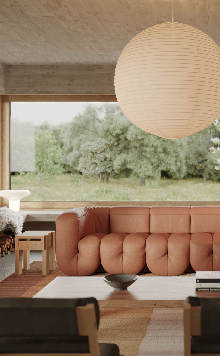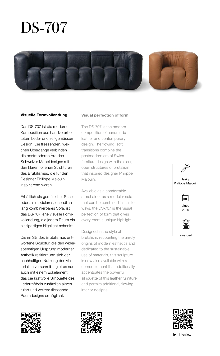## DS-707



#### **Visuelle Formvollendung**

Das DS-707 ist die moderne Komposition aus handverarbeitetem Leder und zeitgemässem Design. Die fliessenden, weichen Übergänge verbinden die postmoderne Ära des Schweizer Möbeldesigns mit den klaren, offenen Strukturen des Brutalismus, die für den Designer Philippe Malouin inspirierend waren.

Erhältlich als gemütlicher Sessel oder als modulares, unendlich lang kombinierbares Sofa, ist das DS-707 jene visuelle Formvollendung, die jedem Raum ein einzigartiges Highlight schenkt.

Die im Stil des Brutalismus entworfene Skulptur, die den widerspenstigen Ursprung moderner Ästhetik rezitiert und sich der nachhaltigen Nutzung der Materialien verschreibt, gibt es nun auch mit einem Eckelement, das die kraftvolle Silhouette des Ledermöbels zusätzlich akzentuiert und weitere fliessende Raumdesigns ermöglicht.

#### **Visual perfection of form**

The DS-707 is the modern composition of handmade leather and contemporary design. The flowing, soft transitions combine the postmodern era of Swiss furniture design with the clear, open structures of brutalism that inspired designer Philippe Malouin.

Available as a comfortable armchair or as a modular sofa that can be combined in infinite ways, the DS-707 is the visual perfection of form that gives every room a unique highlight.

Designed in the style of brutalism, recounting the unruly origins of modern esthetics and dedicated to the sustainable use of materials, this sculpture is now also available with a corner element that additionally accentuates the powerful silhouette of this leather furniture and permits additional, flowing interior designs.









[interview](https://www.youtube.com/watch?v=lpgqIqbX1eA)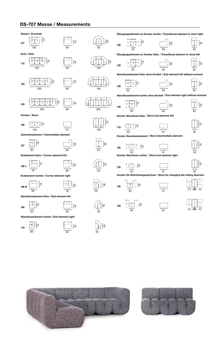### **DS-707 Masse / Measurements**